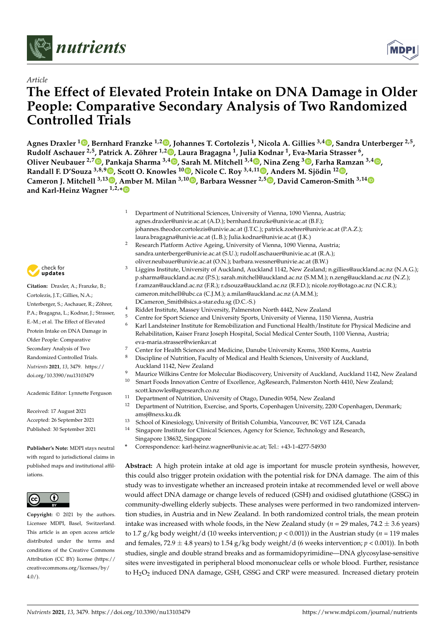



# **The Effect of Elevated Protein Intake on DNA Damage in Older People: Comparative Secondary Analysis of Two Randomized Controlled Trials**

**Agnes Draxler <sup>1</sup> [,](https://orcid.org/0000-0001-9750-4149) Bernhard Franzke 1,2 [,](https://orcid.org/0000-0001-6762-2777) Johannes T. Cortolezis <sup>1</sup> , Nicola A. Gillies 3,4 [,](https://orcid.org/0000-0002-1280-5725) Sandra Unterberger 2,5 , Rudolf Aschauer 2,5, Patrick A. Zöhrer 1,[2](https://orcid.org/0000-0002-6952-2881) , Laura Bragagna <sup>1</sup> , Julia Kodnar <sup>1</sup> , Eva-Maria Strasser <sup>6</sup> , Oliver Neubauer 2,7 [,](https://orcid.org/0000-0001-6835-8787) Pankaja Sharma 3,4 [,](https://orcid.org/0000-0002-8213-8585) Sarah M. Mitchell 3,4 [,](https://orcid.org/0000-0003-0879-969X) Nina Zeng <sup>3</sup> [,](https://orcid.org/0000-0001-5240-8321) Farha Ramzan 3,4 [,](https://orcid.org/0000-0001-7590-1282) Randall F. D'Souza 3,8,9 [,](https://orcid.org/0000-0002-4467-1709) Scott O. Knowles <sup>10</sup> [,](https://orcid.org/0000-0003-3482-5513) Nicole C. Roy 3,4,11 [,](https://orcid.org/0000-0002-6744-9705) Anders M. Sjödin <sup>12</sup> [,](https://orcid.org/0000-0002-6451-3847) Cameron J. Mitchell 3,13 [,](https://orcid.org/0000-0003-3843-6806) Amber M. Milan 3,10 [,](https://orcid.org/0000-0002-9559-7326) Barbara Wessner 2,5 [,](https://orcid.org/0000-0002-9061-7914) David Cameron-Smith 3,1[4](https://orcid.org/0000-0002-0144-5816) and Karl-Heinz Wagner 1,2,[\\*](https://orcid.org/0000-0002-1683-7265)**

- <sup>1</sup> Department of Nutritional Sciences, University of Vienna, 1090 Vienna, Austria; agnes.draxler@univie.ac.at (A.D.); bernhard.franzke@univie.ac.at (B.F.); johannes.theodor.cortolezis@univie.ac.at (J.T.C.); patrick.zoehrer@univie.ac.at (P.A.Z.); laura.bragagna@univie.ac.at (L.B.); Julia.kodnar@univie.ac.at (J.K.)
- <sup>2</sup> Research Platform Active Ageing, University of Vienna, 1090 Vienna, Austria; sandra.unterberger@univie.ac.at (S.U.); rudolf.aschauer@univie.ac.at (R.A.); oliver.neubauer@univie.ac.at (O.N.); barbara.wessner@univie.ac.at (B.W.)
- <sup>3</sup> Liggins Institute, University of Auckland, Auckland 1142, New Zealand; n.gillies@auckland.ac.nz (N.A.G.); p.sharma@auckland.ac.nz (P.S.); sarah.mitchell@auckland.ac.nz (S.M.M.); n.zeng@auckland.ac.nz (N.Z.); f.ramzan@auckland.ac.nz (F.R.); r.dsouza@auckland.ac.nz (R.F.D.); nicole.roy@otago.ac.nz (N.C.R.); cameron.mitchell@ubc.ca (C.J.M.); a.milan@auckland.ac.nz (A.M.M.); DCameron\_Smith@sics.a-star.edu.sg (D.C.-S.)
- 4 Riddet Institute, Massey University, Palmerston North 4442, New Zealand
- <sup>5</sup> Centre for Sport Science and University Sports, University of Vienna, 1150 Vienna, Austria
- <sup>6</sup> Karl Landsteiner Institute for Remobilization and Functional Health/Institute for Physical Medicine and Rehabilitation, Kaiser Franz Joseph Hospital, Social Medical Center South, 1100 Vienna, Austria; eva-maria.strasser@wienkav.at
- <sup>7</sup> Center for Health Sciences and Medicine, Danube University Krems, 3500 Krems, Austria
- <sup>8</sup> Discipline of Nutrition, Faculty of Medical and Health Sciences, University of Auckland, Auckland 1142, New Zealand
- <sup>9</sup> Maurice Wilkins Centre for Molecular Biodiscovery, University of Auckland, Auckland 1142, New Zealand  $\frac{10}{2}$
- <sup>10</sup> Smart Foods Innovation Centre of Excellence, AgResearch, Palmerston North 4410, New Zealand; scott.knowles@agresearch.co.nz
- <sup>11</sup> Department of Nutrition, University of Otago, Dunedin 9054, New Zealand
- <sup>12</sup> Department of Nutrition, Exercise, and Sports, Copenhagen University, 2200 Copenhagen, Denmark; amsj@nexs.ku.dk
- <sup>13</sup> School of Kinesiology, University of British Columbia, Vancouver, BC V6T 1Z4, Canada
- Singapore Institute for Clinical Sciences, Agency for Science, Technology and Research, Singapore 138632, Singapore
- **\*** Correspondence: karl-heinz.wagner@univie.ac.at; Tel.: +43-1-4277-54930

**Abstract:** A high protein intake at old age is important for muscle protein synthesis, however, this could also trigger protein oxidation with the potential risk for DNA damage. The aim of this study was to investigate whether an increased protein intake at recommended level or well above would affect DNA damage or change levels of reduced (GSH) and oxidised glutathione (GSSG) in community-dwelling elderly subjects. These analyses were performed in two randomized intervention studies, in Austria and in New Zealand. In both randomized control trials, the mean protein intake was increased with whole foods, in the New Zealand study ( $n = 29$  males,  $74.2 \pm 3.6$  years) to 1.7 g/kg body weight/d (10 weeks intervention; *p* < 0.001)) in the Austrian study (*n* = 119 males and females, 72.9  $\pm$  4.8 years) to 1.54 g/kg body weight/d (6 weeks intervention;  $p < 0.001$ )). In both studies, single and double strand breaks and as formamidopyrimidine—DNA glycosylase-sensitive sites were investigated in peripheral blood mononuclear cells or whole blood. Further, resistance to H<sub>2</sub>O<sub>2</sub> induced DNA damage, GSH, GSSG and CRP were measured. Increased dietary protein



**Citation:** Draxler, A.; Franzke, B.; Cortolezis, J.T.; Gillies, N.A.; Unterberger, S.; Aschauer, R.; Zöhrer, P.A.; Bragagna, L.; Kodnar, J.; Strasser, E.-M.; et al. The Effect of Elevated Protein Intake on DNA Damage in Older People: Comparative Secondary Analysis of Two Randomized Controlled Trials. *Nutrients* **2021**, *13*, 3479. [https://](https://doi.org/10.3390/nu13103479) [doi.org/10.3390/nu13103479](https://doi.org/10.3390/nu13103479)

Academic Editor: Lynnette Ferguson

Received: 17 August 2021 Accepted: 26 September 2021 Published: 30 September 2021

**Publisher's Note:** MDPI stays neutral with regard to jurisdictional claims in published maps and institutional affiliations.



**Copyright:** © 2021 by the authors. Licensee MDPI, Basel, Switzerland. This article is an open access article distributed under the terms and conditions of the Creative Commons Attribution (CC BY) license (https:/[/](https://creativecommons.org/licenses/by/4.0/) [creativecommons.org/licenses/by/](https://creativecommons.org/licenses/by/4.0/)  $4.0/$ ).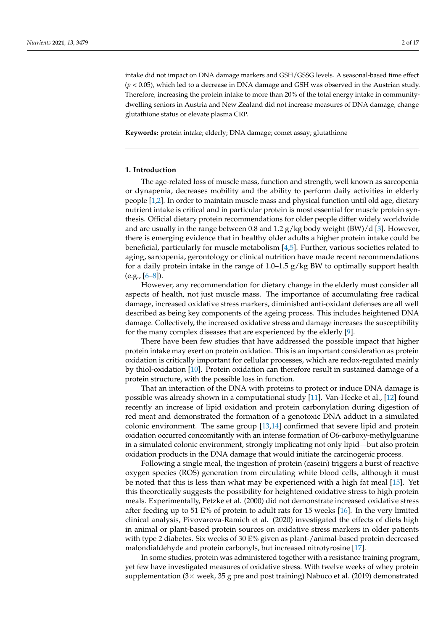intake did not impact on DNA damage markers and GSH/GSSG levels. A seasonal-based time effect (*p* < 0.05), which led to a decrease in DNA damage and GSH was observed in the Austrian study. Therefore, increasing the protein intake to more than 20% of the total energy intake in communitydwelling seniors in Austria and New Zealand did not increase measures of DNA damage, change glutathione status or elevate plasma CRP.

**Keywords:** protein intake; elderly; DNA damage; comet assay; glutathione

# **1. Introduction**

The age-related loss of muscle mass, function and strength, well known as sarcopenia or dynapenia, decreases mobility and the ability to perform daily activities in elderly people [\[1,](#page-14-0)[2\]](#page-14-1). In order to maintain muscle mass and physical function until old age, dietary nutrient intake is critical and in particular protein is most essential for muscle protein synthesis. Official dietary protein recommendations for older people differ widely worldwide and are usually in the range between 0.8 and 1.2  $g/kg$  body weight (BW)/d [\[3\]](#page-14-2). However, there is emerging evidence that in healthy older adults a higher protein intake could be beneficial, particularly for muscle metabolism [\[4](#page-14-3)[,5\]](#page-14-4). Further, various societies related to aging, sarcopenia, gerontology or clinical nutrition have made recent recommendations for a daily protein intake in the range of  $1.0-1.5$  g/kg BW to optimally support health  $(e.g., [6-8])$  $(e.g., [6-8])$  $(e.g., [6-8])$ .

However, any recommendation for dietary change in the elderly must consider all aspects of health, not just muscle mass. The importance of accumulating free radical damage, increased oxidative stress markers, diminished anti-oxidant defenses are all well described as being key components of the ageing process. This includes heightened DNA damage. Collectively, the increased oxidative stress and damage increases the susceptibility for the many complex diseases that are experienced by the elderly [\[9\]](#page-14-7).

There have been few studies that have addressed the possible impact that higher protein intake may exert on protein oxidation. This is an important consideration as protein oxidation is critically important for cellular processes, which are redox-regulated mainly by thiol-oxidation [\[10\]](#page-14-8). Protein oxidation can therefore result in sustained damage of a protein structure, with the possible loss in function.

That an interaction of the DNA with proteins to protect or induce DNA damage is possible was already shown in a computational study [\[11\]](#page-14-9). Van-Hecke et al., [\[12\]](#page-14-10) found recently an increase of lipid oxidation and protein carbonylation during digestion of red meat and demonstrated the formation of a genotoxic DNA adduct in a simulated colonic environment. The same group [\[13](#page-14-11)[,14\]](#page-14-12) confirmed that severe lipid and protein oxidation occurred concomitantly with an intense formation of O6-carboxy-methylguanine in a simulated colonic environment, strongly implicating not only lipid—but also protein oxidation products in the DNA damage that would initiate the carcinogenic process.

Following a single meal, the ingestion of protein (casein) triggers a burst of reactive oxygen species (ROS) generation from circulating white blood cells, although it must be noted that this is less than what may be experienced with a high fat meal [\[15\]](#page-14-13). Yet this theoretically suggests the possibility for heightened oxidative stress to high protein meals. Experimentally, Petzke et al. (2000) did not demonstrate increased oxidative stress after feeding up to 51 E% of protein to adult rats for 15 weeks [\[16\]](#page-14-14). In the very limited clinical analysis, Pivovarova-Ramich et al. (2020) investigated the effects of diets high in animal or plant-based protein sources on oxidative stress markers in older patients with type 2 diabetes. Six weeks of 30 E% given as plant-/animal-based protein decreased malondialdehyde and protein carbonyls, but increased nitrotyrosine [\[17\]](#page-14-15).

In some studies, protein was administered together with a resistance training program, yet few have investigated measures of oxidative stress. With twelve weeks of whey protein supplementation ( $3\times$  week,  $35$  g pre and post training) Nabuco et al. (2019) demonstrated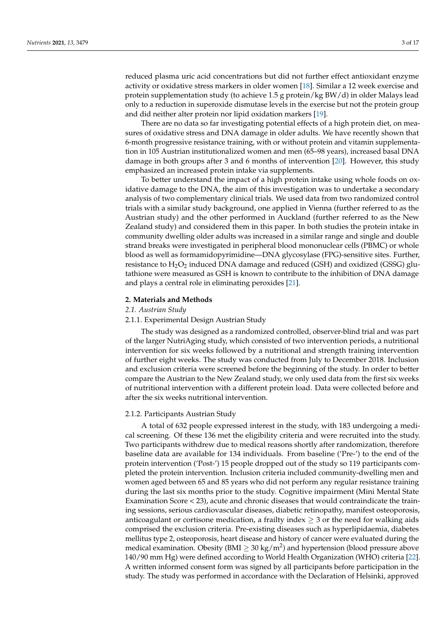reduced plasma uric acid concentrations but did not further effect antioxidant enzyme activity or oxidative stress markers in older women [\[18\]](#page-15-0). Similar a 12 week exercise and protein supplementation study (to achieve 1.5 g protein/kg BW/d) in older Malays lead only to a reduction in superoxide dismutase levels in the exercise but not the protein group and did neither alter protein nor lipid oxidation markers [\[19\]](#page-15-1).

There are no data so far investigating potential effects of a high protein diet, on measures of oxidative stress and DNA damage in older adults. We have recently shown that 6-month progressive resistance training, with or without protein and vitamin supplementation in 105 Austrian institutionalized women and men (65–98 years), increased basal DNA damage in both groups after 3 and 6 months of intervention [\[20\]](#page-15-2). However, this study emphasized an increased protein intake via supplements.

To better understand the impact of a high protein intake using whole foods on oxidative damage to the DNA, the aim of this investigation was to undertake a secondary analysis of two complementary clinical trials. We used data from two randomized control trials with a similar study background, one applied in Vienna (further referred to as the Austrian study) and the other performed in Auckland (further referred to as the New Zealand study) and considered them in this paper. In both studies the protein intake in community dwelling older adults was increased in a similar range and single and double strand breaks were investigated in peripheral blood mononuclear cells (PBMC) or whole blood as well as formamidopyrimidine—DNA glycosylase (FPG)-sensitive sites. Further, resistance to  $H_2O_2$  induced DNA damage and reduced (GSH) and oxidized (GSSG) glutathione were measured as GSH is known to contribute to the inhibition of DNA damage and plays a central role in eliminating peroxides [\[21\]](#page-15-3).

## **2. Materials and Methods**

# *2.1. Austrian Study*

#### 2.1.1. Experimental Design Austrian Study

The study was designed as a randomized controlled, observer-blind trial and was part of the larger NutriAging study, which consisted of two intervention periods, a nutritional intervention for six weeks followed by a nutritional and strength training intervention of further eight weeks. The study was conducted from July to December 2018. Inclusion and exclusion criteria were screened before the beginning of the study. In order to better compare the Austrian to the New Zealand study, we only used data from the first six weeks of nutritional intervention with a different protein load. Data were collected before and after the six weeks nutritional intervention.

## 2.1.2. Participants Austrian Study

A total of 632 people expressed interest in the study, with 183 undergoing a medical screening. Of these 136 met the eligibility criteria and were recruited into the study. Two participants withdrew due to medical reasons shortly after randomization, therefore baseline data are available for 134 individuals. From baseline ('Pre-') to the end of the protein intervention ('Post-') 15 people dropped out of the study so 119 participants completed the protein intervention. Inclusion criteria included community-dwelling men and women aged between 65 and 85 years who did not perform any regular resistance training during the last six months prior to the study. Cognitive impairment (Mini Mental State Examination Score < 23), acute and chronic diseases that would contraindicate the training sessions, serious cardiovascular diseases, diabetic retinopathy, manifest osteoporosis, anticoagulant or cortisone medication, a frailty index  $\geq$  3 or the need for walking aids comprised the exclusion criteria. Pre-existing diseases such as hyperlipidaemia, diabetes mellitus type 2, osteoporosis, heart disease and history of cancer were evaluated during the medical examination. Obesity (BMI  $\geq 30 \text{ kg/m}^2$ ) and hypertension (blood pressure above 140/90 mm Hg) were defined according to World Health Organization (WHO) criteria [\[22\]](#page-15-4). A written informed consent form was signed by all participants before participation in the study. The study was performed in accordance with the Declaration of Helsinki, approved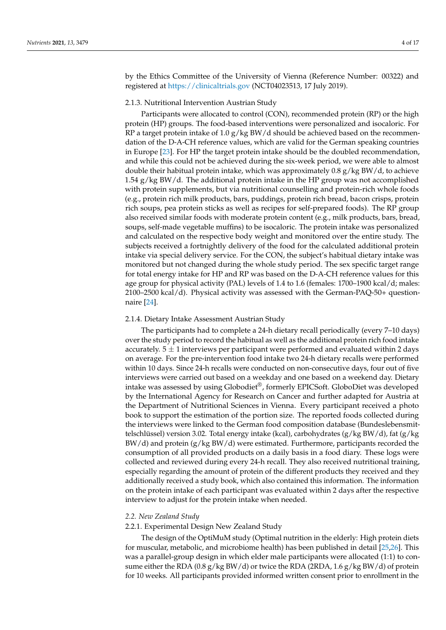by the Ethics Committee of the University of Vienna (Reference Number: 00322) and registered at <https://clinicaltrials.gov> (NCT04023513, 17 July 2019).

#### 2.1.3. Nutritional Intervention Austrian Study

Participants were allocated to control (CON), recommended protein (RP) or the high protein (HP) groups. The food-based interventions were personalized and isocaloric. For RP a target protein intake of 1.0  $g/kg$  BW/d should be achieved based on the recommendation of the D-A-CH reference values, which are valid for the German speaking countries in Europe [\[23\]](#page-15-5). For HP the target protein intake should be the doubled recommendation, and while this could not be achieved during the six-week period, we were able to almost double their habitual protein intake, which was approximately  $0.8$  g/kg BW/d, to achieve 1.54  $g/kg$  BW/d. The additional protein intake in the HP group was not accomplished with protein supplements, but via nutritional counselling and protein-rich whole foods (e.g., protein rich milk products, bars, puddings, protein rich bread, bacon crisps, protein rich soups, pea protein sticks as well as recipes for self-prepared foods). The RP group also received similar foods with moderate protein content (e.g., milk products, bars, bread, soups, self-made vegetable muffins) to be isocaloric. The protein intake was personalized and calculated on the respective body weight and monitored over the entire study. The subjects received a fortnightly delivery of the food for the calculated additional protein intake via special delivery service. For the CON, the subject's habitual dietary intake was monitored but not changed during the whole study period. The sex specific target range for total energy intake for HP and RP was based on the D-A-CH reference values for this age group for physical activity (PAL) levels of 1.4 to 1.6 (females: 1700–1900 kcal/d; males: 2100–2500 kcal/d). Physical activity was assessed with the German-PAQ-50+ questionnaire [\[24\]](#page-15-6).

#### 2.1.4. Dietary Intake Assessment Austrian Study

The participants had to complete a 24-h dietary recall periodically (every 7–10 days) over the study period to record the habitual as well as the additional protein rich food intake accurately.  $5 \pm 1$  interviews per participant were performed and evaluated within 2 days on average. For the pre-intervention food intake two 24-h dietary recalls were performed within 10 days. Since 24-h recalls were conducted on non-consecutive days, four out of five interviews were carried out based on a weekday and one based on a weekend day. Dietary intake was assessed by using Globodiet®, formerly EPICSoft. GloboDiet was developed by the International Agency for Research on Cancer and further adapted for Austria at the Department of Nutritional Sciences in Vienna. Every participant received a photo book to support the estimation of the portion size. The reported foods collected during the interviews were linked to the German food composition database (Bundeslebensmittelschlüssel) version 3.02. Total energy intake (kcal), carbohydrates (g/kg BW/d), fat (g/kg  $BW/d$ ) and protein  $(g/kgBW/d)$  were estimated. Furthermore, participants recorded the consumption of all provided products on a daily basis in a food diary. These logs were collected and reviewed during every 24-h recall. They also received nutritional training, especially regarding the amount of protein of the different products they received and they additionally received a study book, which also contained this information. The information on the protein intake of each participant was evaluated within 2 days after the respective interview to adjust for the protein intake when needed.

#### *2.2. New Zealand Study*

# 2.2.1. Experimental Design New Zealand Study

The design of the OptiMuM study (Optimal nutrition in the elderly: High protein diets for muscular, metabolic, and microbiome health) has been published in detail [\[25,](#page-15-7)[26\]](#page-15-8). This was a parallel-group design in which elder male participants were allocated (1:1) to consume either the RDA (0.8 g/kg BW/d) or twice the RDA (2RDA, 1.6 g/kg BW/d) of protein for 10 weeks. All participants provided informed written consent prior to enrollment in the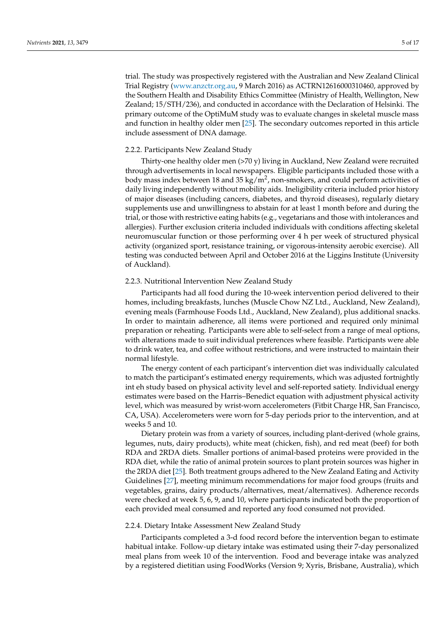trial. The study was prospectively registered with the Australian and New Zealand Clinical Trial Registry [\(www.anzctr.org.au,](www.anzctr.org.au) 9 March 2016) as ACTRN12616000310460, approved by the Southern Health and Disability Ethics Committee (Ministry of Health, Wellington, New Zealand; 15/STH/236), and conducted in accordance with the Declaration of Helsinki. The primary outcome of the OptiMuM study was to evaluate changes in skeletal muscle mass and function in healthy older men [\[25\]](#page-15-7). The secondary outcomes reported in this article include assessment of DNA damage.

#### 2.2.2. Participants New Zealand Study

Thirty-one healthy older men (>70 y) living in Auckland, New Zealand were recruited through advertisements in local newspapers. Eligible participants included those with a body mass index between 18 and 35 kg/m<sup>2</sup>, non-smokers, and could perform activities of daily living independently without mobility aids. Ineligibility criteria included prior history of major diseases (including cancers, diabetes, and thyroid diseases), regularly dietary supplements use and unwillingness to abstain for at least 1 month before and during the trial, or those with restrictive eating habits (e.g., vegetarians and those with intolerances and allergies). Further exclusion criteria included individuals with conditions affecting skeletal neuromuscular function or those performing over 4 h per week of structured physical activity (organized sport, resistance training, or vigorous-intensity aerobic exercise). All testing was conducted between April and October 2016 at the Liggins Institute (University of Auckland).

## 2.2.3. Nutritional Intervention New Zealand Study

Participants had all food during the 10-week intervention period delivered to their homes, including breakfasts, lunches (Muscle Chow NZ Ltd., Auckland, New Zealand), evening meals (Farmhouse Foods Ltd., Auckland, New Zealand), plus additional snacks. In order to maintain adherence, all items were portioned and required only minimal preparation or reheating. Participants were able to self-select from a range of meal options, with alterations made to suit individual preferences where feasible. Participants were able to drink water, tea, and coffee without restrictions, and were instructed to maintain their normal lifestyle.

The energy content of each participant's intervention diet was individually calculated to match the participant's estimated energy requirements, which was adjusted fortnightly int eh study based on physical activity level and self-reported satiety. Individual energy estimates were based on the Harris–Benedict equation with adjustment physical activity level, which was measured by wrist-worn accelerometers (Fitbit Charge HR, San Francisco, CA, USA). Accelerometers were worn for 5-day periods prior to the intervention, and at weeks 5 and 10.

Dietary protein was from a variety of sources, including plant-derived (whole grains, legumes, nuts, dairy products), white meat (chicken, fish), and red meat (beef) for both RDA and 2RDA diets. Smaller portions of animal-based proteins were provided in the RDA diet, while the ratio of animal protein sources to plant protein sources was higher in the 2RDA diet [\[25\]](#page-15-7). Both treatment groups adhered to the New Zealand Eating and Activity Guidelines [\[27\]](#page-15-9), meeting minimum recommendations for major food groups (fruits and vegetables, grains, dairy products/alternatives, meat/alternatives). Adherence records were checked at week 5, 6, 9, and 10, where participants indicated both the proportion of each provided meal consumed and reported any food consumed not provided.

## 2.2.4. Dietary Intake Assessment New Zealand Study

Participants completed a 3-d food record before the intervention began to estimate habitual intake. Follow-up dietary intake was estimated using their 7-day personalized meal plans from week 10 of the intervention. Food and beverage intake was analyzed by a registered dietitian using FoodWorks (Version 9; Xyris, Brisbane, Australia), which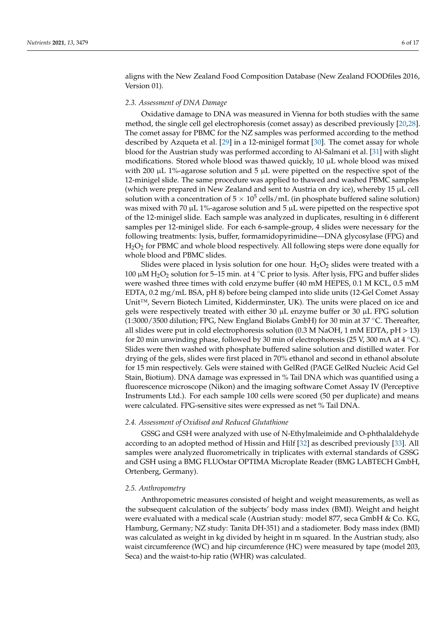aligns with the New Zealand Food Composition Database (New Zealand FOODfiles 2016, Version 01).

## *2.3. Assessment of DNA Damage*

Oxidative damage to DNA was measured in Vienna for both studies with the same method, the single cell gel electrophoresis (comet assay) as described previously [\[20,](#page-15-2)[28\]](#page-15-10). The comet assay for PBMC for the NZ samples was performed according to the method described by Azqueta et al. [\[29\]](#page-15-11) in a 12-minigel format [\[30\]](#page-15-12). The comet assay for whole blood for the Austrian study was performed according to Al-Salmani et al. [\[31\]](#page-15-13) with slight modifications. Stored whole blood was thawed quickly, 10 µL whole blood was mixed with 200 µL 1%-agarose solution and 5 µL were pipetted on the respective spot of the 12-minigel slide. The same procedure was applied to thawed and washed PBMC samples (which were prepared in New Zealand and sent to Austria on dry ice), whereby 15 µL cell solution with a concentration of  $5\times10^5$  cells/mL (in phosphate buffered saline solution) was mixed with 70 µL 1%-agarose solution and 5 µL were pipetted on the respective spot of the 12-minigel slide. Each sample was analyzed in duplicates, resulting in 6 different samples per 12-minigel slide. For each 6-sample-group, 4 slides were necessary for the following treatments: lysis, buffer, formamidopyrimidine—DNA glycosylase (FPG) and  $H<sub>2</sub>O<sub>2</sub>$  for PBMC and whole blood respectively. All following steps were done equally for whole blood and PBMC slides.

Slides were placed in lysis solution for one hour.  $H_2O_2$  slides were treated with a 100  $\mu$ M H<sub>2</sub>O<sub>2</sub> solution for 5–15 min. at 4 °C prior to lysis. After lysis, FPG and buffer slides were washed three times with cold enzyme buffer (40 mM HEPES, 0.1 M KCL, 0.5 mM EDTA, 0.2 mg/mL BSA, pH 8) before being clamped into slide units (12-Gel Comet Assay Unit™, Severn Biotech Limited, Kidderminster, UK). The units were placed on ice and gels were respectively treated with either 30  $\mu$ L enzyme buffer or 30  $\mu$ L FPG solution (1:3000/3500 dilution; FPG, New England Biolabs GmbH) for 30 min at 37  $°C$ . Thereafter, all slides were put in cold electrophoresis solution (0.3 M NaOH, 1 mM EDTA,  $pH > 13$ ) for 20 min unwinding phase, followed by 30 min of electrophoresis (25 V, 300 mA at 4  $\degree$ C). Slides were then washed with phosphate buffered saline solution and distilled water. For drying of the gels, slides were first placed in 70% ethanol and second in ethanol absolute for 15 min respectively. Gels were stained with GelRed (PAGE GelRed Nucleic Acid Gel Stain, Biotium). DNA damage was expressed in % Tail DNA which was quantified using a fluorescence microscope (Nikon) and the imaging software Comet Assay IV (Perceptive Instruments Ltd.). For each sample 100 cells were scored (50 per duplicate) and means were calculated. FPG-sensitive sites were expressed as net % Tail DNA.

# *2.4. Assessment of Oxidised and Reduced Glutathione*

GSSG and GSH were analyzed with use of N-Ethylmaleimide and O-phthalaldehyde according to an adopted method of Hissin and Hilf [\[32\]](#page-15-14) as described previously [\[33\]](#page-15-15). All samples were analyzed fluorometrically in triplicates with external standards of GSSG and GSH using a BMG FLUOstar OPTIMA Microplate Reader (BMG LABTECH GmbH, Ortenberg, Germany).

#### *2.5. Anthropometry*

Anthropometric measures consisted of height and weight measurements, as well as the subsequent calculation of the subjects' body mass index (BMI). Weight and height were evaluated with a medical scale (Austrian study: model 877, seca GmbH & Co. KG, Hamburg, Germany; NZ study: Tanita DH-351) and a stadiometer. Body mass index (BMI) was calculated as weight in kg divided by height in m squared. In the Austrian study, also waist circumference (WC) and hip circumference (HC) were measured by tape (model 203, Seca) and the waist-to-hip ratio (WHR) was calculated.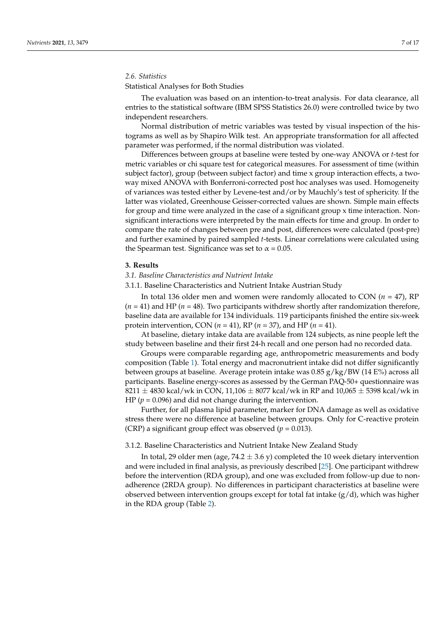# *2.6. Statistics*

# Statistical Analyses for Both Studies

The evaluation was based on an intention-to-treat analysis. For data clearance, all entries to the statistical software (IBM SPSS Statistics 26.0) were controlled twice by two independent researchers.

Normal distribution of metric variables was tested by visual inspection of the histograms as well as by Shapiro Wilk test. An appropriate transformation for all affected parameter was performed, if the normal distribution was violated.

Differences between groups at baseline were tested by one-way ANOVA or *t*-test for metric variables or chi square test for categorical measures. For assessment of time (within subject factor), group (between subject factor) and time x group interaction effects, a twoway mixed ANOVA with Bonferroni-corrected post hoc analyses was used. Homogeneity of variances was tested either by Levene-test and/or by Mauchly's test of sphericity. If the latter was violated, Greenhouse Geisser-corrected values are shown. Simple main effects for group and time were analyzed in the case of a significant group x time interaction. Nonsignificant interactions were interpreted by the main effects for time and group. In order to compare the rate of changes between pre and post, differences were calculated (post-pre) and further examined by paired sampled *t*-tests. Linear correlations were calculated using the Spearman test. Significance was set to  $\alpha = 0.05$ .

## **3. Results**

# *3.1. Baseline Characteristics and Nutrient Intake*

3.1.1. Baseline Characteristics and Nutrient Intake Austrian Study

In total 136 older men and women were randomly allocated to CON (*n* = 47), RP  $(n = 41)$  and HP  $(n = 48)$ . Two participants withdrew shortly after randomization therefore, baseline data are available for 134 individuals. 119 participants finished the entire six-week protein intervention, CON (*n* = 41), RP (*n* = 37), and HP (*n* = 41).

At baseline, dietary intake data are available from 124 subjects, as nine people left the study between baseline and their first 24-h recall and one person had no recorded data.

Groups were comparable regarding age, anthropometric measurements and body composition (Table [1\)](#page-7-0). Total energy and macronutrient intake did not differ significantly between groups at baseline. Average protein intake was  $0.85$  g/kg/BW (14 E%) across all participants. Baseline energy-scores as assessed by the German PAQ-50+ questionnaire was 8211  $\pm$  4830 kcal/wk in CON, 11,106  $\pm$  8077 kcal/wk in RP and 10,065  $\pm$  5398 kcal/wk in HP (*p* = 0.096) and did not change during the intervention.

Further, for all plasma lipid parameter, marker for DNA damage as well as oxidative stress there were no difference at baseline between groups. Only for C-reactive protein (CRP) a significant group effect was observed ( $p = 0.013$ ).

# 3.1.2. Baseline Characteristics and Nutrient Intake New Zealand Study

In total, 29 older men (age,  $74.2 \pm 3.6$  y) completed the 10 week dietary intervention and were included in final analysis, as previously described [\[25\]](#page-15-7). One participant withdrew before the intervention (RDA group), and one was excluded from follow-up due to nonadherence (2RDA group). No differences in participant characteristics at baseline were observed between intervention groups except for total fat intake  $(g/d)$ , which was higher in the RDA group (Table [2\)](#page-7-1).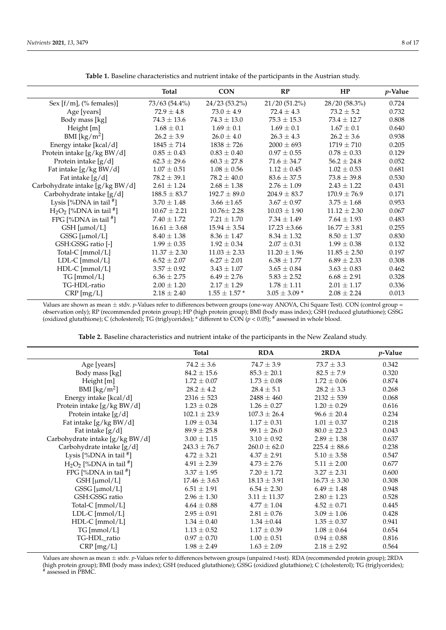<span id="page-7-0"></span>

|                                  | Total            | <b>CON</b>        | RP               | HP               | <i>p</i> -Value |
|----------------------------------|------------------|-------------------|------------------|------------------|-----------------|
| Sex $[f/m]$ , (% females)]       | 73/63 (54.4%)    | 24/23 (53.2%)     | 21/20 (51.2%)    | 28/20 (58.3%)    | 0.724           |
| Age [years]                      | $72.9 \pm 4.8$   | $73.0 \pm 4.9$    | $72.4 \pm 4.3$   | $73.2 \pm 5.2$   | 0.732           |
| Body mass [kg]                   | $74.3 \pm 13.6$  | $74.3 \pm 13.0$   | $75.3 \pm 15.3$  | $73.4 \pm 12.7$  | 0.808           |
| Height [m]                       | $1.68 \pm 0.1$   | $1.69 \pm 0.1$    | $1.69 \pm 0.1$   | $1.67 \pm 0.1$   | 0.640           |
| BMI [ $\text{kg/m}^2$ ]          | $26.2 \pm 3.9$   | $26.0 \pm 4.0$    | $26.3 \pm 4.3$   | $26.2 \pm 3.6$   | 0.938           |
| Energy intake [kcal/d]           | $1845 \pm 714$   | $1838 \pm 726$    | $2000 \pm 693$   | $1719 \pm 710$   | 0.205           |
| Protein intake [g/kg BW/d]       | $0.85 \pm 0.43$  | $0.83 \pm 0.40$   | $0.97 \pm 0.55$  | $0.78 \pm 0.33$  | 0.129           |
| Protein intake [g/d]             | $62.3 \pm 29.6$  | $60.3 \pm 27.8$   | $71.6 \pm 34.7$  | $56.2 \pm 24.8$  | 0.052           |
| Fat intake [g/kg BW/d]           | $1.07 \pm 0.51$  | $1.08 \pm 0.56$   | $1.12 \pm 0.45$  | $1.02 \pm 0.53$  | 0.681           |
| Fat intake $[g/d]$               | $78.2 \pm 39.1$  | $78.2 \pm 40.0$   | $83.6 \pm 37.5$  | $73.8 \pm 39.8$  | 0.530           |
| Carbohydrate intake [g/kg BW/d]  | $2.61 \pm 1.24$  | $2.68 \pm 1.38$   | $2.76 \pm 1.09$  | $2.43 \pm 1.22$  | 0.431           |
| Carbohydrate intake [g/d]        | $188.5 \pm 83.7$ | $192.7 \pm 89.0$  | $204.9 \pm 83.7$ | $170.9 \pm 76.9$ | 0.171           |
| Lysis $[%DNA in tail!]$          | $3.70 \pm 1.48$  | $3.66 \pm 1.65$   | $3.67 \pm 0.97$  | $3.75 \pm 1.68$  | 0.953           |
| $H_2O_2$ [%DNA in tail $^{\#}$ ] | $10.67 \pm 2.21$ | $10.76 \pm 2.28$  | $10.03 \pm 1.90$ | $11.12 \pm 2.30$ | 0.067           |
| FPG [%DNA in tail $*$ ]          | $7.40 \pm 1.72$  | $7.21 \pm 1.70$   | $7.34 \pm 1.49$  | $7.64 \pm 1.93$  | 0.483           |
| $GSH$ [µmol/L]                   | $16.61 \pm 3.68$ | $15.94 \pm 3.54$  | $17.23 \pm 3.66$ | $16.77 \pm 3.81$ | 0.255           |
| $GSSG$ [ $\mu$ mol/L]            | $8.40 \pm 1.38$  | $8.36 \pm 1.47$   | $8.34 \pm 1.32$  | $8.50\pm1.37$    | 0.830           |
| GSH:GSSG ratio [-]               | $1.99 \pm 0.35$  | $1.92 \pm 0.34$   | $2.07 \pm 0.31$  | $1.99 \pm 0.38$  | 0.132           |
| Total-C [mmol/L]                 | $11.37 \pm 2.30$ | $11.03 \pm 2.33$  | $11.20 \pm 1.96$ | $11.85 \pm 2.50$ | 0.197           |
| $LDL-C [mmol/L]$                 | $6.52 \pm 2.07$  | $6.27 \pm 2.01$   | $6.38 \pm 1.77$  | $6.89 \pm 2.33$  | 0.308           |
| $HDL-C$ [mmol/L]                 | $3.57 \pm 0.92$  | $3.43 \pm 1.07$   | $3.65 \pm 0.84$  | $3.63 \pm 0.83$  | 0.462           |
| TG [mmol/L]                      | $6.36 \pm 2.75$  | $6.49 \pm 2.76$   | $5.83 \pm 2.52$  | $6.68 \pm 2.91$  | 0.328           |
| TG-HDL-ratio                     | $2.00 \pm 1.20$  | $2.17 \pm 1.29$   | $1.78 \pm 1.11$  | $2.01 \pm 1.17$  | 0.336           |
| $CRP$ [mg/L]                     | $2.18 \pm 2.40$  | $1.55 \pm 1.57$ * | $3.05 \pm 3.09*$ | $2.08 \pm 2.24$  | 0.013           |

**Table 1.** Baseline characteristics and nutrient intake of the participants in the Austrian study.

Values are shown as mean  $\pm$  stdv. *p*-Values refer to differences between groups (one-way ANOVA, Chi Square Test). CON (control group = observation only); RP (recommended protein group); HP (high protein group); BMI (body mass index); GSH (reduced glutathione); GSSG (oxidized glutathione); C (cholesterol); TG (triglycerides); \* different to CON (*p* < 0.05); # assessed in whole blood.

| Table 2. Baseline characteristics and nutrient intake of the participants in the New Zealand study. |  |
|-----------------------------------------------------------------------------------------------------|--|
|-----------------------------------------------------------------------------------------------------|--|

<span id="page-7-1"></span>

|                                       | <b>Total</b>     | <b>RDA</b>       | 2RDA             | p-Value |
|---------------------------------------|------------------|------------------|------------------|---------|
| Age [years]                           | $74.2 \pm 3.6$   | $74.7 \pm 3.9$   | $73.7 \pm 3.3$   | 0.342   |
| Body mass [kg]                        | $84.2 \pm 15.6$  | $85.3 \pm 20.1$  | $82.5 \pm 7.9$   | 0.320   |
| Height [m]                            | $1.72 \pm 0.07$  | $1.73 \pm 0.08$  | $1.72 \pm 0.06$  | 0.874   |
| BMI [ $\text{kg/m}^2$ ]               | $28.2 \pm 4.2$   | $28.4 \pm 5.1$   | $28.2 \pm 3.3$   | 0.268   |
| Energy intake [kcal/d]                | $2316 \pm 523$   | $2488 \pm 460$   | $2132 \pm 539$   | 0.068   |
| Protein intake [g/kg BW/d]            | $1.23 \pm 0.28$  | $1.26 \pm 0.27$  | $1.20 \pm 0.29$  | 0.616   |
| Protein intake [g/d]                  | $102.1 \pm 23.9$ | $107.3 \pm 26.4$ | $96.6 \pm 20.4$  | 0.234   |
| Fat intake [g/kg BW/d]                | $1.09 \pm 0.34$  | $1.17 \pm 0.31$  | $1.01 \pm 0.37$  | 0.218   |
| Fat intake [g/d]                      | $89.9 \pm 25.8$  | $99.1 \pm 26.0$  | $80.0 \pm 22.3$  | 0.043   |
| Carbohydrate intake [g/kg BW/d]       | $3.00 \pm 1.15$  | $3.10 \pm 0.92$  | $2.89 \pm 1.38$  | 0.637   |
| Carbohydrate intake [g/d]             | $243.3 \pm 76.7$ | $260.0 \pm 62.0$ | $225.4 \pm 88.6$ | 0.238   |
| Lysis $[%$ DNA in tail <sup>#</sup> ] | $4.72 \pm 3.21$  | $4.37 \pm 2.91$  | $5.10 \pm 3.58$  | 0.547   |
| $H_2O_2$ [%DNA in tail $^{\#}$ ]      | $4.91 \pm 2.39$  | $4.73 \pm 2.76$  | $5.11 \pm 2.00$  | 0.677   |
| FPG [%DNA in tail $*$ ]               | $3.37 \pm 1.95$  | $7.20 \pm 1.72$  | $3.27 \pm 2.31$  | 0.600   |
| $GSH$ [µmol/L]                        | $17.46 \pm 3.63$ | $18.13 \pm 3.91$ | $16.73 \pm 3.30$ | 0.308   |
| $GSSG$ [ $\mu$ mol/L]                 | $6.51 \pm 1.91$  | $6.54 \pm 2.30$  | $6.49 \pm 1.48$  | 0.948   |
| GSH:GSSG ratio                        | $2.96 \pm 1.30$  | $3.11 \pm 11.37$ | $2.80 \pm 1.23$  | 0.528   |
| Total-C [mmol/L]                      | $4.64 \pm 0.88$  | $4.77 \pm 1.04$  | $4.52 \pm 0.71$  | 0.445   |
| $LDL-C [mmol/L]$                      | $2.95 \pm 0.91$  | $2.81 \pm 0.76$  | $3.09 \pm 1.06$  | 0.428   |
| $HDL-C$ [mmol/L]                      | $1.34 \pm 0.40$  | $1.34 \pm 0.44$  | $1.35 \pm 0.37$  | 0.941   |
| $TG$ [mmol/L]                         | $1.13 \pm 0.52$  | $1.17 \pm 0.39$  | $1.08 \pm 0.64$  | 0.654   |
| TG-HDL_ratio                          | $0.97 \pm 0.70$  | $1.00 \pm 0.51$  | $0.94 \pm 0.88$  | 0.816   |
| CRP [mg/L]                            | $1.98 \pm 2.49$  | $1.63 \pm 2.09$  | $2.18 \pm 2.92$  | 0.564   |

Values are shown as mean ± stdv. *p*-Values refer to differences between groups (unpaired *t*-test). RDA (recommended protein group); 2RDA (high protein group); BMI (body mass index); GSH (reduced glutathione); GSSG (oxidized glutathione); C (cholesterol); TG (triglycerides); # assessed in PBMC.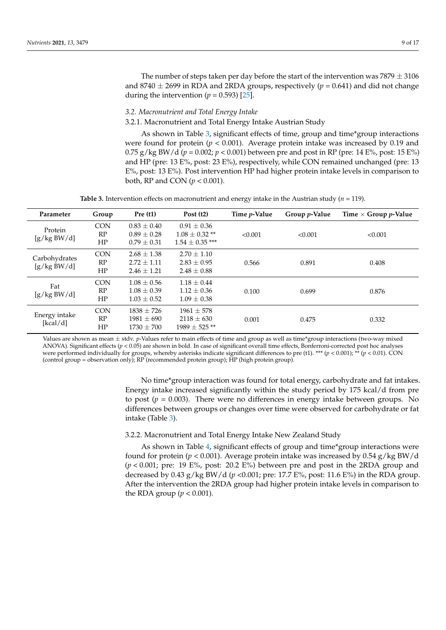The number of steps taken per day before the start of the intervention was  $7879 \pm 3106$ and 8740  $\pm$  2699 in RDA and 2RDA groups, respectively ( $p = 0.641$ ) and did not change during the intervention  $(p = 0.593)$  [\[25\]](#page-15-7).

# *3.2. Macronutrient and Total Energy Intake*

3.2.1. Macronutrient and Total Energy Intake Austrian Study

As shown in Table [3,](#page-8-0) significant effects of time, group and time\*group interactions were found for protein (*p* < 0.001). Average protein intake was increased by 0.19 and  $0.75$  g/kg BW/d ( $p = 0.002$ ;  $p < 0.001$ ) between pre and post in RP (pre: 14 E%, post: 15 E%) and HP (pre: 13 E%, post: 23 E%), respectively, while CON remained unchanged (pre: 13 E%, post: 13 E%). Post intervention HP had higher protein intake levels in comparison to both, RP and CON (*p* < 0.001).

**Table 3.** Intervention effects on macronutrient and energy intake in the Austrian study (*n* = 119).

<span id="page-8-0"></span>

| Parameter                    | Group                  | Pre(1)                                              | Post $(t2)$                                                | Time p-Value | Group <i>p</i> -Value | Time $\times$ Group p-Value |
|------------------------------|------------------------|-----------------------------------------------------|------------------------------------------------------------|--------------|-----------------------|-----------------------------|
| Protein<br>[g/kg BW/d]       | <b>CON</b><br>RP<br>HP | $0.83 \pm 0.40$<br>$0.89 \pm 0.28$<br>$0.79 + 0.31$ | $0.91 \pm 0.36$<br>$1.08 \pm 0.32$ **<br>$1.54 + 0.35$ *** | < 0.001      | < 0.001               | < 0.001                     |
| Carbohydrates<br>[g/kg BW/d] | <b>CON</b><br>RP<br>HP | $2.68 + 1.38$<br>$2.72 + 1.11$<br>$2.46 + 1.21$     | $2.70 + 1.10$<br>$2.83 + 0.95$<br>$2.48 \pm 0.88$          | 0.566        | 0.891                 | 0.408                       |
| Fat<br>[g/kg BW/d]           | <b>CON</b><br>RP<br>HP | $1.08 \pm 0.56$<br>$1.08 \pm 0.39$<br>$1.03 + 0.52$ | $1.18 \pm 0.44$<br>$1.12 \pm 0.36$<br>$1.09 \pm 0.38$      | 0.100        | 0.699                 | 0.876                       |
| Energy intake<br>[kcal/d]    | <b>CON</b><br>RP<br>HP | $1838 \pm 726$<br>$1981 \pm 690$<br>$1730 \pm 700$  | $1961 \pm 578$<br>$2118 \pm 630$<br>$1989 + 525$ **        | 0.001        | 0.475                 | 0.332                       |

Values are shown as mean ± stdv. *p*-Values refer to main effects of time and group as well as time\*group interactions (two-way mixed ANOVA). Significant effects ( $p < 0.05$ ) are shown in bold. In case of significant overall time effects, Bonferroni-corrected post hoc analyses were performed individually for groups, whereby asterisks indicate significant differences to pre (t1). \*\*\* (*p* < 0.001); \*\* (*p* < 0.01). CON (control group = observation only); RP (recommended protein group); HP (high protein group).

> No time\*group interaction was found for total energy, carbohydrate and fat intakes. Energy intake increased significantly within the study period by 175 kcal/d from pre to post  $(p = 0.003)$ . There were no differences in energy intake between groups. No differences between groups or changes over time were observed for carbohydrate or fat intake (Table [3\)](#page-8-0).

## 3.2.2. Macronutrient and Total Energy Intake New Zealand Study

As shown in Table [4,](#page-9-0) significant effects of group and time\*group interactions were found for protein ( $p < 0.001$ ). Average protein intake was increased by 0.54 g/kg BW/d (*p* < 0.001; pre: 19 E%, post: 20.2 E%) between pre and post in the 2RDA group and decreased by 0.43 g/kg BW/d (*p* <0.001; pre: 17.7 E%, post: 11.6 E%) in the RDA group. After the intervention the 2RDA group had higher protein intake levels in comparison to the RDA group  $(p < 0.001)$ .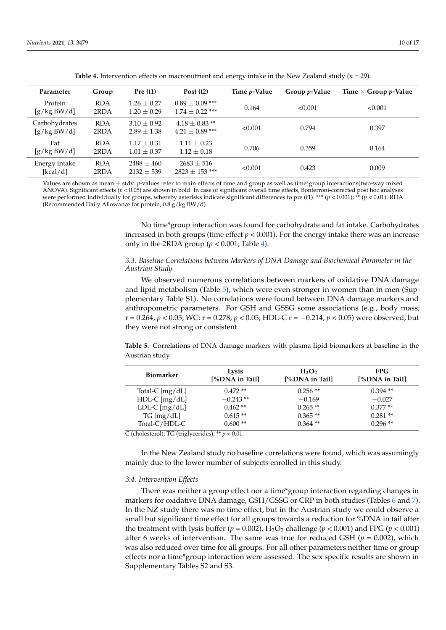<span id="page-9-0"></span>

| Parameter                    | Group              | Pre(1)                             | Post $(t2)$                               | Time <i>p</i> -Value | Group <i>p</i> -Value | Time $\times$ Group p-Value |
|------------------------------|--------------------|------------------------------------|-------------------------------------------|----------------------|-----------------------|-----------------------------|
| Protein<br>[g/kg BW/d]       | <b>RDA</b><br>2RDA | $1.26 \pm 0.27$<br>$1.20 \pm 0.29$ | $0.89 + 0.09$ ***<br>$1.74 + 0.22$ ***    | 0.164                | < 0.001               | < 0.001                     |
| Carbohydrates<br>[g/kg BW/d] | <b>RDA</b><br>2RDA | $3.10 \pm 0.92$<br>$2.89 \pm 1.38$ | $4.18 \pm 0.83$ **<br>$4.21 \pm 0.89$ *** | < 0.001              | 0.794                 | 0.397                       |
| Fat<br>[g/kg BW/d]           | <b>RDA</b><br>2RDA | $1.17 \pm 0.31$<br>$1.01 \pm 0.37$ | $1.11 \pm 0.23$<br>$1.12 \pm 0.18$        | 0.706                | 0.359                 | 0.164                       |
| Energy intake<br>[kcal/d]    | <b>RDA</b><br>2RDA | $2488 \pm 460$<br>$2132 \pm 539$   | $2683 \pm 516$<br>$2823 \pm 153$ ***      | < 0.001              | 0.423                 | 0.009                       |

**Table 4.** Intervention effects on macronutrient and energy intake in the New Zealand study ( $n = 29$ ).

Values are shown as mean ± stdv. *p*-values refer to main effects of time and group as well as time\*group interactions(two-way mixed ANOVA). Significant effects (*p* < 0.05) are shown in bold. In case of significant overall time effects, Bonferroni-corrected post hoc analyses were performed individually for groups, whereby asterisks indicate significant differences to pre (t1). \*\*\* ( $p < 0.001$ ); \*\* ( $p < 0.01$ ). RDA (Recommended Daily Allowance for protein, 0.8 g/kg BW/d).

> No time\*group interaction was found for carbohydrate and fat intake. Carbohydrates increased in both groups (time effect  $p < 0.001$ ). For the energy intake there was an increase only in the 2RDA group ( $p < 0.001$ ; Table [4\)](#page-9-0).

# *3.3. Baseline Correlations between Markers of DNA Damage and Biochemical Parameter in the Austrian Study*

We observed numerous correlations between markers of oxidative DNA damage and lipid metabolism (Table [5\)](#page-9-1), which were even stronger in women than in men (Supplementary Table S1). No correlations were found between DNA damage markers and anthropometric parameters. For GSH and GSSG some associations (e.g., body mass; r = 0.264, *p* < 0.05; WC: r = 0.278, *p* < 0.05; HDL-C r = −0.214, *p* < 0.05) were observed, but they were not strong or consistent.

<span id="page-9-1"></span>**Table 5.** Correlations of DNA damage markers with plasma lipid biomarkers at baseline in the Austrian study.

| Biomarker         | Lysis<br>[%DNA in Tail]                | $H_2O_2$<br>[%DNA in Tail] | FPG.<br>[%DNA in Tail] |  |
|-------------------|----------------------------------------|----------------------------|------------------------|--|
| Total-C $[mg/dL]$ | $0.472**$                              | $0.256**$                  | $0.394**$              |  |
| $HDL-C$ [mg/dL]   | $-0.243**$                             | $-0.169$                   | $-0.027$               |  |
| $LDL-C [mg/dL]$   | $0.462**$                              | $0.265**$                  | $0.377**$              |  |
| TG [mg/dL]        | $0.615**$                              | $0.365**$                  | $0.281**$              |  |
| Total-C/HDL-C     | $0.600**$<br>.<br>$\sim$ $\sim$ $\sim$ | $0.364**$                  | $0.296**$              |  |

C (cholesterol); TG (triglycerides); \*\* *p* < 0.01.

In the New Zealand study no baseline correlations were found, which was assumingly mainly due to the lower number of subjects enrolled in this study.

#### *3.4. Intervention Effects*

There was neither a group effect nor a time\*group interaction regarding changes in markers for oxidative DNA damage, GSH/GSSG or CRP in both studies (Tables [6](#page-10-0) and [7\)](#page-10-1). In the NZ study there was no time effect, but in the Austrian study we could observe a small but significant time effect for all groups towards a reduction for %DNA in tail after the treatment with lysis buffer ( $p = 0.002$ ), H<sub>2</sub>O<sub>2</sub> challenge ( $p < 0.001$ ) and FPG ( $p < 0.001$ ) after 6 weeks of intervention. The same was true for reduced GSH ( $p = 0.002$ ), which was also reduced over time for all groups. For all other parameters neither time or group effects nor a time\*group interaction were assessed. The sex specific results are shown in Supplementary Tables S2 and S3.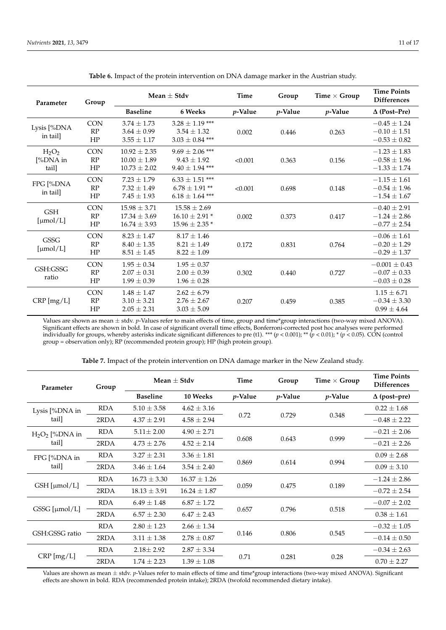<span id="page-10-0"></span>

| Parameter                       | Group                             | Mean $\pm$ Stdv                                          |                                                                  | Time            | Group           | Time $\times$ Group | <b>Time Points</b><br><b>Differences</b>                  |
|---------------------------------|-----------------------------------|----------------------------------------------------------|------------------------------------------------------------------|-----------------|-----------------|---------------------|-----------------------------------------------------------|
|                                 |                                   | <b>Baseline</b>                                          | 6 Weeks                                                          | <i>p</i> -Value | <i>p</i> -Value | <i>p</i> -Value     | $\Delta$ (Post-Pre)                                       |
| Lysis [%DNA<br>in tail]         | <b>CON</b><br>RP<br>$\rm{HP}$     | $3.74 \pm 1.73$<br>$3.64 \pm 0.99$<br>$3.55 \pm 1.17$    | $3.28 \pm 1.19$ ***<br>$3.54 \pm 1.32$<br>$3.03 \pm 0.84$ ***    | 0.002           | 0.446           | 0.263               | $-0.45 \pm 1.24$<br>$-0.10 \pm 1.51$<br>$-0.53 \pm 0.82$  |
| $H_2O_2$<br>$[%DNA$ in<br>tail] | <b>CON</b><br>RP<br>$\rm{HP}$     | $10.92 \pm 2.35$<br>$10.00 \pm 1.89$<br>$10.73 \pm 2.02$ | $9.69 \pm 2.06$ ***<br>$9.43 \pm 1.92$<br>$9.40 \pm 1.94$ ***    | < 0.001         | 0.363           | 0.156               | $-1.23 \pm 1.83$<br>$-0.58 \pm 1.96$<br>$-1.33 \pm 1.74$  |
| FPG [%DNA<br>in tail]           | <b>CON</b><br>RP<br>HP            | $7.23 \pm 1.79$<br>$7.32 \pm 1.49$<br>$7.45 \pm 1.93$    | $6.33 \pm 1.51$ ***<br>$6.78 \pm 1.91$ **<br>$6.18 \pm 1.64$ *** | < 0.001         | 0.698           | 0.148               | $-1.15 \pm 1.61$<br>$-0.54 \pm 1.96$<br>$-1.54 \pm 1.67$  |
| <b>GSH</b><br>[µmol/L]          | <b>CON</b><br>RP<br>HP            | $15.98 \pm 3.71$<br>$17.34 \pm 3.69$<br>$16.74 \pm 3.93$ | $15.58 \pm 2.69$<br>$16.10 \pm 2.91*$<br>$15.96 \pm 2.35$ *      | 0.002           | 0.373           | 0.417               | $-0.40 \pm 2.91$<br>$-1.24 \pm 2.86$<br>$-0.77 \pm 2.54$  |
| GSSG<br>[µmol/L]                | <b>CON</b><br>$\mathbf{RP}$<br>HP | $8.23 \pm 1.47$<br>$8.40 \pm 1.35$<br>$8.51 \pm 1.45$    | $8.17 + 1.46$<br>$8.21 \pm 1.49$<br>$8.22 \pm 1.09$              | 0.172           | 0.831           | 0.764               | $-0.06 \pm 1.61$<br>$-0.20 \pm 1.29$<br>$-0.29 \pm 1.37$  |
| GSH:GSSG<br>ratio               | <b>CON</b><br>RP<br>HP            | $1.95 \pm 0.34$<br>$2.07 \pm 0.31$<br>$1.99\pm0.39$      | $1.95 \pm 0.37$<br>$2.00 \pm 0.39$<br>$1.96 \pm 0.28$            | 0.302           | 0.440           | 0.727               | $-0.001 \pm 0.43$<br>$-0.07 \pm 0.33$<br>$-0.03 \pm 0.28$ |
| $CRP$ [mg/L]                    | <b>CON</b><br>RP<br>HP            | $1.48 \pm 1.47$<br>$3.10 \pm 3.21$<br>$2.05 \pm 2.31$    | $2.62 \pm 6.79$<br>$2.76 \pm 2.67$<br>$3.03 \pm 5.09$            | 0.207           | 0.459           | 0.385               | $1.15 \pm 6.71$<br>$-0.34 \pm 3.30$<br>$0.99 \pm 4.64$    |

| Table 6. Impact of the protein intervention on DNA damage marker in the Austrian study. |  |
|-----------------------------------------------------------------------------------------|--|
|                                                                                         |  |

Values are shown as mean ± stdv. *p*-Values refer to main effects of time, group and time\*group interactions (two-way mixed ANOVA). Significant effects are shown in bold. In case of significant overall time effects, Bonferroni-corrected post hoc analyses were performed individually for groups, whereby asterisks indicate significant differences to pre (t1). \*\*\* (*p* < 0.001); \*\* (*p* < 0.01); \* (*p* < 0.05). CON (control group = observation only); RP (recommended protein group); HP (high protein group).

<span id="page-10-1"></span>

| Parameter              | Group      | Mean $\pm$ Stdv  |                  | <b>Time</b>     | Group           | Time $\times$ Group | <b>Time Points</b><br><b>Differences</b> |
|------------------------|------------|------------------|------------------|-----------------|-----------------|---------------------|------------------------------------------|
|                        |            | <b>Baseline</b>  | <b>10 Weeks</b>  | <i>p</i> -Value | <i>p</i> -Value | <i>p</i> -Value     | $\Delta$ (post–pre)                      |
| Lysis [%DNA in         | <b>RDA</b> | $5.10 \pm 3.58$  | $4.62 \pm 3.16$  |                 |                 |                     | $0.22 \pm 1.68$                          |
| tail]                  | 2RDA       | $4.37 \pm 2.91$  | $4.58 \pm 2.94$  | 0.72            | 0.729           | 0.348               | $-0.48 \pm 2.22$                         |
| $H2O2$ [%DNA in        | <b>RDA</b> | $5.11 \pm 2.00$  | $4.90 \pm 2.71$  |                 |                 |                     | $-0.21 \pm 2.06$                         |
| tail]                  | 2RDA       | $4.73 \pm 2.76$  | $4.52 \pm 2.14$  | 0.608           | 0.643           | 0.999               | $-0.21 \pm 2.26$                         |
| FPG [%DNA in]<br>tail] | <b>RDA</b> | $3.27 \pm 2.31$  | $3.36 \pm 1.81$  | 0.869           |                 | 0.994               | $0.09 \pm 2.68$                          |
|                        | 2RDA       | $3.46 \pm 1.64$  | $3.54 \pm 2.40$  |                 | 0.614           |                     | $0.09 \pm 3.10$                          |
| GSH [µmol/L]           | <b>RDA</b> | $16.73 \pm 3.30$ | $16.37 \pm 1.26$ | 0.059           | 0.475           | 0.189               | $-1.24 \pm 2.86$                         |
|                        | 2RDA       | $18.13 \pm 3.91$ | $16.24 \pm 1.87$ |                 |                 |                     | $-0.72 \pm 2.54$                         |
|                        | <b>RDA</b> | $6.49 \pm 1.48$  | $6.87 \pm 1.72$  |                 |                 |                     | $-0.07 \pm 2.02$                         |
| GSSG [µmol/L]          | 2RDA       | $6.57 \pm 2.30$  | $6.47 \pm 2.43$  | 0.657           | 0.796           | 0.518               | $0.38 \pm 1.61$                          |
|                        | <b>RDA</b> | $2.80 \pm 1.23$  | $2.66 \pm 1.34$  |                 |                 |                     | $-0.32 \pm 1.05$                         |
| GSH:GSSG ratio         | 2RDA       | $3.11 \pm 1.38$  | $2.78 \pm 0.87$  | 0.146           | 0.806           | 0.545               | $-0.14 \pm 0.50$                         |
| $CRP$ [mg/L]           | <b>RDA</b> | $2.18 \pm 2.92$  | $2.87 \pm 3.34$  |                 |                 |                     | $-0.34 \pm 2.63$                         |
|                        | 2RDA       | $1.74 \pm 2.23$  | $1.39 \pm 1.08$  | 0.71            | 0.281           | 0.28                | $0.70 \pm 2.27$                          |

**Table 7.** Impact of the protein intervention on DNA damage marker in the New Zealand study.

Values are shown as mean ± stdv. *p*-Values refer to main effects of time and time\*group interactions (two-way mixed ANOVA). Significant effects are shown in bold. RDA (recommended protein intake); 2RDA (twofold recommended dietary intake).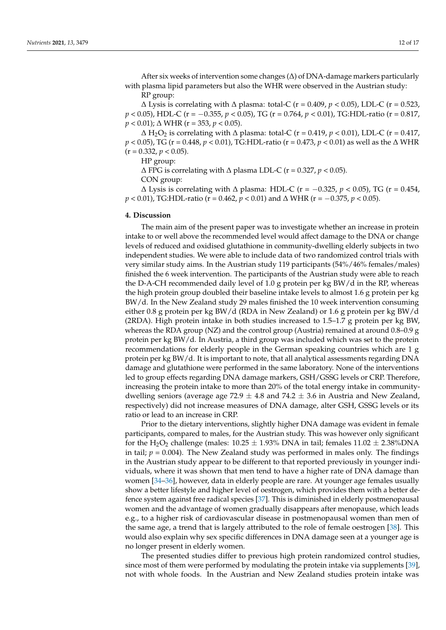After six weeks of intervention some changes (∆) of DNA-damage markers particularly with plasma lipid parameters but also the WHR were observed in the Austrian study: RP group:

∆ Lysis is correlating with ∆ plasma: total-C (r = 0.409, *p* < 0.05), LDL-C (r = 0.523, *p* < 0.05), HDL-C (r = −0.355, *p* < 0.05), TG (r = 0.764, *p* < 0.01), TG:HDL-ratio (r = 0.817, *p* < 0.01);  $\triangle$  WHR (*r* = 353, *p* < 0.05).

∆ H2O<sup>2</sup> is correlating with ∆ plasma: total-C (r = 0.419, *p* < 0.01), LDL-C (r = 0.417, *p* < 0.05), TG (r = 0.448, *p* < 0.01), TG:HDL-ratio (r = 0.473, *p* < 0.01) as well as the ∆ WHR  $(r = 0.332, p < 0.05)$ .

HP group:

∆ FPG is correlating with ∆ plasma LDL-C (r = 0.327, *p* < 0.05).

CON group:

∆ Lysis is correlating with ∆ plasma: HDL-C (r = −0.325, *p* < 0.05), TG (r = 0.454, *p* < 0.01), TG:HDL-ratio (r = 0.462, *p* < 0.01) and ∆ WHR (r = −0.375, *p* < 0.05).

#### **4. Discussion**

The main aim of the present paper was to investigate whether an increase in protein intake to or well above the recommended level would affect damage to the DNA or change levels of reduced and oxidised glutathione in community-dwelling elderly subjects in two independent studies. We were able to include data of two randomized control trials with very similar study aims. In the Austrian study 119 participants (54%/46% females/males) finished the 6 week intervention. The participants of the Austrian study were able to reach the D-A-CH recommended daily level of 1.0 g protein per kg BW/d in the RP, whereas the high protein group doubled their baseline intake levels to almost 1.6 g protein per kg BW/d. In the New Zealand study 29 males finished the 10 week intervention consuming either 0.8 g protein per kg BW/d (RDA in New Zealand) or 1.6 g protein per kg BW/d (2RDA). High protein intake in both studies increased to 1.5–1.7 g protein per kg BW, whereas the RDA group (NZ) and the control group (Austria) remained at around  $0.8-0.9$  g protein per kg BW/d. In Austria, a third group was included which was set to the protein recommendations for elderly people in the German speaking countries which are 1 g protein per kg BW/d. It is important to note, that all analytical assessments regarding DNA damage and glutathione were performed in the same laboratory. None of the interventions led to group effects regarding DNA damage markers, GSH/GSSG levels or CRP. Therefore, increasing the protein intake to more than 20% of the total energy intake in communitydwelling seniors (average age 72.9  $\pm$  4.8 and 74.2  $\pm$  3.6 in Austria and New Zealand, respectively) did not increase measures of DNA damage, alter GSH, GSSG levels or its ratio or lead to an increase in CRP.

Prior to the dietary interventions, slightly higher DNA damage was evident in female participants, compared to males, for the Austrian study. This was however only significant for the  $H_2O_2$  challenge (males:  $10.25 \pm 1.93\%$  DNA in tail; females  $11.02 \pm 2.38\%$ DNA in tail;  $p = 0.004$ ). The New Zealand study was performed in males only. The findings in the Austrian study appear to be different to that reported previously in younger individuals, where it was shown that men tend to have a higher rate of DNA damage than women [\[34–](#page-15-16)[36\]](#page-15-17), however, data in elderly people are rare. At younger age females usually show a better lifestyle and higher level of oestrogen, which provides them with a better defence system against free radical species [\[37\]](#page-15-18). This is diminished in elderly postmenopausal women and the advantage of women gradually disappears after menopause, which leads e.g., to a higher risk of cardiovascular disease in postmenopausal women than men of the same age, a trend that is largely attributed to the role of female oestrogen [\[38\]](#page-15-19). This would also explain why sex specific differences in DNA damage seen at a younger age is no longer present in elderly women.

The presented studies differ to previous high protein randomized control studies, since most of them were performed by modulating the protein intake via supplements [\[39\]](#page-15-20), not with whole foods. In the Austrian and New Zealand studies protein intake was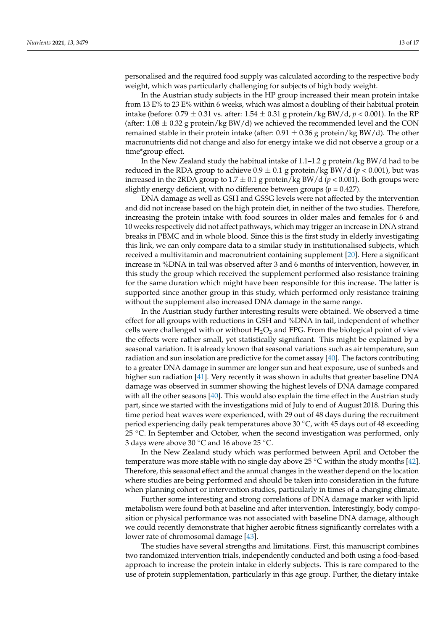personalised and the required food supply was calculated according to the respective body weight, which was particularly challenging for subjects of high body weight.

In the Austrian study subjects in the HP group increased their mean protein intake from 13 E% to 23 E% within 6 weeks, which was almost a doubling of their habitual protein intake (before: 0.79 ± 0.31 vs. after: 1.54 ± 0.31 g protein/kg BW/d, *p* < 0.001). In the RP (after:  $1.08 \pm 0.32$  g protein/kg BW/d) we achieved the recommended level and the CON remained stable in their protein intake (after:  $0.91 \pm 0.36$  g protein/kg BW/d). The other macronutrients did not change and also for energy intake we did not observe a group or a time\*group effect.

In the New Zealand study the habitual intake of  $1.1-1.2$  g protein/kg BW/d had to be reduced in the RDA group to achieve  $0.9 \pm 0.1$  g protein/kg BW/d ( $p < 0.001$ ), but was increased in the 2RDA group to  $1.7 \pm 0.1$  g protein/kg BW/d ( $p < 0.001$ ). Both groups were slightly energy deficient, with no difference between groups ( $p = 0.427$ ).

DNA damage as well as GSH and GSSG levels were not affected by the intervention and did not increase based on the high protein diet, in neither of the two studies. Therefore, increasing the protein intake with food sources in older males and females for 6 and 10 weeks respectively did not affect pathways, which may trigger an increase in DNA strand breaks in PBMC and in whole blood. Since this is the first study in elderly investigating this link, we can only compare data to a similar study in institutionalised subjects, which received a multivitamin and macronutrient containing supplement [\[20\]](#page-15-2). Here a significant increase in %DNA in tail was observed after 3 and 6 months of intervention, however, in this study the group which received the supplement performed also resistance training for the same duration which might have been responsible for this increase. The latter is supported since another group in this study, which performed only resistance training without the supplement also increased DNA damage in the same range.

In the Austrian study further interesting results were obtained. We observed a time effect for all groups with reductions in GSH and %DNA in tail, independent of whether cells were challenged with or without  $H_2O_2$  and FPG. From the biological point of view the effects were rather small, yet statistically significant. This might be explained by a seasonal variation. It is already known that seasonal variations such as air temperature, sun radiation and sun insolation are predictive for the comet assay [\[40\]](#page-15-21). The factors contributing to a greater DNA damage in summer are longer sun and heat exposure, use of sunbeds and higher sun radiation [\[41\]](#page-15-22). Very recently it was shown in adults that greater baseline DNA damage was observed in summer showing the highest levels of DNA damage compared with all the other seasons [\[40\]](#page-15-21). This would also explain the time effect in the Austrian study part, since we started with the investigations mid of July to end of August 2018. During this time period heat waves were experienced, with 29 out of 48 days during the recruitment period experiencing daily peak temperatures above 30 ◦C, with 45 days out of 48 exceeding 25 <sup>°</sup>C. In September and October, when the second investigation was performed, only 3 days were above 30 ◦C and 16 above 25 ◦C.

In the New Zealand study which was performed between April and October the temperature was more stable with no single day above 25 °C within the study months [\[42\]](#page-15-23). Therefore, this seasonal effect and the annual changes in the weather depend on the location where studies are being performed and should be taken into consideration in the future when planning cohort or intervention studies, particularly in times of a changing climate.

Further some interesting and strong correlations of DNA damage marker with lipid metabolism were found both at baseline and after intervention. Interestingly, body composition or physical performance was not associated with baseline DNA damage, although we could recently demonstrate that higher aerobic fitness significantly correlates with a lower rate of chromosomal damage [\[43\]](#page-16-0).

The studies have several strengths and limitations. First, this manuscript combines two randomized intervention trials, independently conducted and both using a food-based approach to increase the protein intake in elderly subjects. This is rare compared to the use of protein supplementation, particularly in this age group. Further, the dietary intake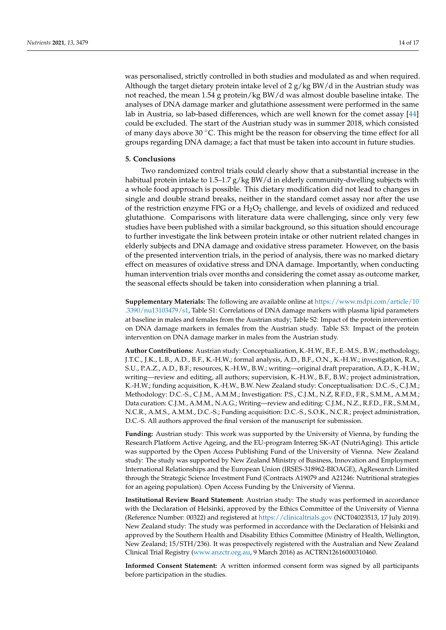was personalised, strictly controlled in both studies and modulated as and when required. Although the target dietary protein intake level of  $2 g/kg BW/d$  in the Austrian study was not reached, the mean 1.54 g protein/kg BW/d was almost double baseline intake. The analyses of DNA damage marker and glutathione assessment were performed in the same lab in Austria, so lab-based differences, which are well known for the comet assay [\[44\]](#page-16-1) could be excluded. The start of the Austrian study was in summer 2018, which consisted of many days above 30 ◦C. This might be the reason for observing the time effect for all groups regarding DNA damage; a fact that must be taken into account in future studies.

### **5. Conclusions**

Two randomized control trials could clearly show that a substantial increase in the habitual protein intake to 1.5–1.7  $g/kg$  BW/d in elderly community-dwelling subjects with a whole food approach is possible. This dietary modification did not lead to changes in single and double strand breaks, neither in the standard comet assay nor after the use of the restriction enzyme FPG or a  $H_2O_2$  challenge, and levels of oxidized and reduced glutathione. Comparisons with literature data were challenging, since only very few studies have been published with a similar background, so this situation should encourage to further investigate the link between protein intake or other nutrient related changes in elderly subjects and DNA damage and oxidative stress parameter. However, on the basis of the presented intervention trials, in the period of analysis, there was no marked dietary effect on measures of oxidative stress and DNA damage. Importantly, when conducting human intervention trials over months and considering the comet assay as outcome marker, the seasonal effects should be taken into consideration when planning a trial.

**Supplementary Materials:** The following are available online at [https://www.mdpi.com/article/10](https://www.mdpi.com/article/10.3390/nu13103479/s1) [.3390/nu13103479/s1,](https://www.mdpi.com/article/10.3390/nu13103479/s1) Table S1: Correlations of DNA damage markers with plasma lipid parameters at baseline in males and females from the Austrian study; Table S2: Impact of the protein intervention on DNA damage markers in females from the Austrian study. Table S3: Impact of the protein intervention on DNA damage marker in males from the Austrian study.

**Author Contributions:** Austrian study: Conceptualization, K.-H.W., B.F., E.-M.S., B.W.; methodology, J.T.C., J.K., L.B., A.D., B.F., K.-H.W.; formal analysis, A.D., B.F., O.N., K.-H.W.; investigation, R.A., S.U., P.A.Z., A.D., B.F.; resources, K.-H.W., B.W.; writing—original draft preparation, A.D., K.-H.W.; writing—review and editing, all authors; supervision, K.-H.W., B.F., B.W.; project administration, K.-H.W.; funding acquisition, K.-H.W., B.W. New Zealand study: Conceptualisation: D.C.-S., C.J.M.; Methodology: D.C.-S., C.J.M., A.M.M.; Investigation: P.S., C.J.M., N.Z, R.F.D., F.R., S.M.M., A.M.M.; Data curation: C.J.M., A.M.M., N.A.G.; Writing—review and editing: C.J.M., N.Z., R.F.D., F.R., S.M.M., N.C.R., A.M.S., A.M.M., D.C.-S.; Funding acquisition: D.C.-S., S.O.K., N.C.R.; project administration, D.C.-S. All authors approved the final version of the manuscript for submission.

**Funding:** Austrian study: This work was supported by the University of Vienna, by funding the Research Platform Active Ageing, and the EU-program Interreg SK-AT (NutriAging). This article was supported by the Open Access Publishing Fund of the University of Vienna. New Zealand study: The study was supported by New Zealand Ministry of Business, Innovation and Employment International Relationships and the European Union (IRSES-318962-BIOAGE), AgResearch Limited through the Strategic Science Investment Fund (Contracts A19079 and A21246: Nutritional strategies for an ageing population). Open Access Funding by the University of Vienna.

**Institutional Review Board Statement:** Austrian study: The study was performed in accordance with the Declaration of Helsinki, approved by the Ethics Committee of the University of Vienna (Reference Number: 00322) and registered at <https://clinicaltrials.gov> (NCT04023513, 17 July 2019). New Zealand study: The study was performed in accordance with the Declaration of Helsinki and approved by the Southern Health and Disability Ethics Committee (Ministry of Health, Wellington, New Zealand; 15/STH/236). It was prospectively registered with the Australian and New Zealand Clinical Trial Registry [\(www.anzctr.org.au,](www.anzctr.org.au) 9 March 2016) as ACTRN12616000310460.

**Informed Consent Statement:** A written informed consent form was signed by all participants before participation in the studies.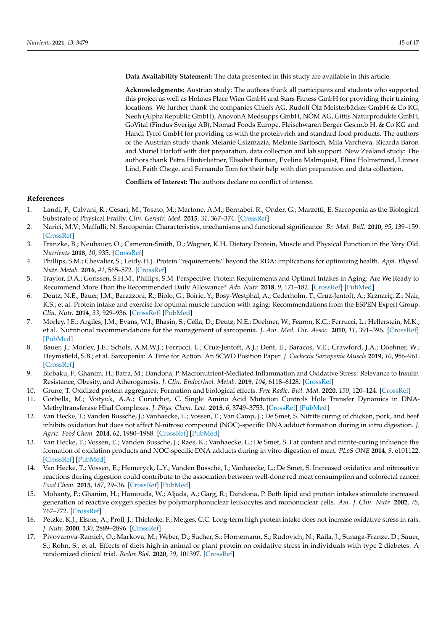**Data Availability Statement:** The data presented in this study are available in this article.

**Acknowledgments:** Austrian study: The authors thank all participants and students who supported this project as well as Holmes Place Wien GmbH and Stars Fitness GmbH for providing their training locations. We further thank the companies Chiefs AG, Rudolf Ölz Meisterbäcker GmbH & Co KG, Neoh (Alpha Republic GmbH), AnovonA Medsupps GmbH, NÖM AG, Gittis Naturprodukte GmbH, GoVital (Findus Sverige AB), Nomad Foods Europe, Fleischwaren Berger Ges.m.b.H. & Co KG and Handl Tyrol GmbH for providing us with the protein-rich and standard food products. The authors of the Austrian study thank Melanie Csizmazia, Melanie Bartosch, Mila Varcheva, Ricarda Baron and Muriel Harloff with diet preparation, data collection and lab support. New Zealand study: The authors thank Petra Hinterleitner, Elisabet Boman, Evelina Malmquist, Elina Holmstrand, Linnea Lind, Faith Chege, and Fernando Tom for their help with diet preparation and data collection.

**Conflicts of Interest:** The authors declare no conflict of interest.

# **References**

- <span id="page-14-0"></span>1. Landi, F.; Calvani, R.; Cesari, M.; Tosato, M.; Martone, A.M.; Bernabei, R.; Onder, G.; Marzetti, E. Sarcopenia as the Biological Substrate of Physical Frailty. *Clin. Geriatr. Med.* **2015**, *31*, 367–374. [\[CrossRef\]](http://doi.org/10.1016/j.cger.2015.04.005)
- <span id="page-14-1"></span>2. Narici, M.V.; Maffulli, N. Sarcopenia: Characteristics, mechanisms and functional significance. *Br. Med. Bull.* **2010**, *95*, 139–159. [\[CrossRef\]](http://doi.org/10.1093/bmb/ldq008)
- <span id="page-14-2"></span>3. Franzke, B.; Neubauer, O.; Cameron-Smith, D.; Wagner, K.H. Dietary Protein, Muscle and Physical Function in the Very Old. *Nutrients* **2018**, *10*, 935. [\[CrossRef\]](http://doi.org/10.3390/nu10070935)
- <span id="page-14-3"></span>4. Phillips, S.M.; Chevalier, S.; Leidy, H.J. Protein "requirements" beyond the RDA: Implications for optimizing health. *Appl. Physiol. Nutr. Metab.* **2016**, *41*, 565–572. [\[CrossRef\]](http://doi.org/10.1139/apnm-2015-0550)
- <span id="page-14-4"></span>5. Traylor, D.A.; Gorissen, S.H.M.; Phillips, S.M. Perspective: Protein Requirements and Optimal Intakes in Aging: Are We Ready to Recommend More Than the Recommended Daily Allowance? *Adv. Nutr.* **2018**, *9*, 171–182. [\[CrossRef\]](http://doi.org/10.1093/advances/nmy003) [\[PubMed\]](http://www.ncbi.nlm.nih.gov/pubmed/29635313)
- <span id="page-14-5"></span>6. Deutz, N.E.; Bauer, J.M.; Barazzoni, R.; Biolo, G.; Boirie, Y.; Bosy-Westphal, A.; Cederholm, T.; Cruz-Jentoft, A.; Krznariç, Z.; Nair, K.S.; et al. Protein intake and exercise for optimal muscle function with aging: Recommendations from the ESPEN Expert Group. *Clin. Nutr.* **2014**, *33*, 929–936. [\[CrossRef\]](http://doi.org/10.1016/j.clnu.2014.04.007) [\[PubMed\]](http://www.ncbi.nlm.nih.gov/pubmed/24814383)
- 7. Morley, J.E.; Argiles, J.M.; Evans, W.J.; Bhasin, S.; Cella, D.; Deutz, N.E.; Doehner, W.; Fearon, K.C.; Ferrucci, L.; Hellerstein, M.K.; et al. Nutritional recommendations for the management of sarcopenia. *J. Am. Med. Dir. Assoc.* **2010**, *11*, 391–396. [\[CrossRef\]](http://doi.org/10.1016/j.jamda.2010.04.014) [\[PubMed\]](http://www.ncbi.nlm.nih.gov/pubmed/20627179)
- <span id="page-14-6"></span>8. Bauer, J.; Morley, J.E.; Schols, A.M.W.J.; Ferrucci, L.; Cruz-Jentoft, A.J.; Dent, E.; Baracos, V.E.; Crawford, J.A.; Doehner, W.; Heymsfield, S.B.; et al. Sarcopenia: A Time for Action. An SCWD Position Paper. *J. Cachexia Sarcopenia Muscle* **2019**, *10*, 956–961. [\[CrossRef\]](http://doi.org/10.1002/jcsm.12483)
- <span id="page-14-7"></span>9. Biobaku, F.; Ghanim, H.; Batra, M.; Dandona, P. Macronutrient-Mediated Inflammation and Oxidative Stress: Relevance to Insulin Resistance, Obesity, and Atherogenesis. *J. Clin. Endocrinol. Metab.* **2019**, *104*, 6118–6128. [\[CrossRef\]](http://doi.org/10.1210/jc.2018-01833)
- <span id="page-14-8"></span>10. Grune, T. Oxidized protein aggregates: Formation and biological effects. *Free Radic. Biol. Med.* **2020**, *150*, 120–124. [\[CrossRef\]](http://doi.org/10.1016/j.freeradbiomed.2020.02.014)
- <span id="page-14-9"></span>11. Corbella, M.; Voityuk, A.A.; Curutchet, C. Single Amino Acid Mutation Controls Hole Transfer Dynamics in DNA-Methyltransferase HhaI Complexes. *J. Phys. Chem. Lett.* **2015**, *6*, 3749–3753. [\[CrossRef\]](http://doi.org/10.1021/acs.jpclett.5b01683) [\[PubMed\]](http://www.ncbi.nlm.nih.gov/pubmed/26722751)
- <span id="page-14-10"></span>12. Van Hecke, T.; Vanden Bussche, J.; Vanhaecke, L.; Vossen, E.; Van Camp, J.; De Smet, S. Nitrite curing of chicken, pork, and beef inhibits oxidation but does not affect N-nitroso compound (NOC)-specific DNA adduct formation during in vitro digestion. *J. Agric. Food Chem.* **2014**, *62*, 1980–1988. [\[CrossRef\]](http://doi.org/10.1021/jf4057583) [\[PubMed\]](http://www.ncbi.nlm.nih.gov/pubmed/24499368)
- <span id="page-14-11"></span>13. Van Hecke, T.; Vossen, E.; Vanden Bussche, J.; Raes, K.; Vanhaecke, L.; De Smet, S. Fat content and nitrite-curing influence the formation of oxidation products and NOC-specific DNA adducts during in vitro digestion of meat. *PLoS ONE* **2014**, *9*, e101122. [\[CrossRef\]](http://doi.org/10.1371/journal.pone.0101122) [\[PubMed\]](http://www.ncbi.nlm.nih.gov/pubmed/24978825)
- <span id="page-14-12"></span>14. Van Hecke, T.; Vossen, E.; Hemeryck, L.Y.; Vanden Bussche, J.; Vanhaecke, L.; De Smet, S. Increased oxidative and nitrosative reactions during digestion could contribute to the association between well-done red meat consumption and colorectal cancer. *Food Chem.* **2015**, *187*, 29–36. [\[CrossRef\]](http://doi.org/10.1016/j.foodchem.2015.04.029) [\[PubMed\]](http://www.ncbi.nlm.nih.gov/pubmed/25976994)
- <span id="page-14-13"></span>15. Mohanty, P.; Ghanim, H.; Hamouda, W.; Aljada, A.; Garg, R.; Dandona, P. Both lipid and protein intakes stimulate increased generation of reactive oxygen species by polymorphonuclear leukocytes and mononuclear cells. *Am. J. Clin. Nutr.* **2002**, *75*, 767–772. [\[CrossRef\]](http://doi.org/10.1093/ajcn/75.4.767)
- <span id="page-14-14"></span>16. Petzke, K.J.; Elsner, A.; Proll, J.; Thielecke, F.; Metges, C.C. Long-term high protein intake does not increase oxidative stress in rats. *J. Nutr.* **2000**, *130*, 2889–2896. [\[CrossRef\]](http://doi.org/10.1093/jn/130.12.2889)
- <span id="page-14-15"></span>17. Pivovarova-Ramich, O.; Markova, M.; Weber, D.; Sucher, S.; Hornemann, S.; Rudovich, N.; Raila, J.; Sunaga-Franze, D.; Sauer, S.; Rohn, S.; et al. Effects of diets high in animal or plant protein on oxidative stress in individuals with type 2 diabetes: A randomized clinical trial. *Redox Biol.* **2020**, *29*, 101397. [\[CrossRef\]](http://doi.org/10.1016/j.redox.2019.101397)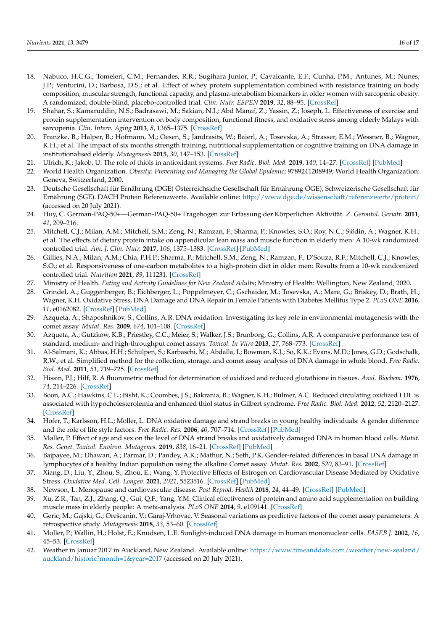- <span id="page-15-0"></span>18. Nabuco, H.C.G.; Tomeleri, C.M.; Fernandes, R.R.; Sugihara Junior, P.; Cavalcante, E.F.; Cunha, P.M.; Antunes, M.; Nunes, J.P.; Venturini, D.; Barbosa, D.S.; et al. Effect of whey protein supplementation combined with resistance training on body composition, muscular strength, functional capacity, and plasma-metabolism biomarkers in older women with sarcopenic obesity: A randomized, double-blind, placebo-controlled trial. *Clin. Nutr. ESPEN* **2019**, *32*, 88–95. [\[CrossRef\]](http://doi.org/10.1016/j.clnesp.2019.04.007)
- <span id="page-15-1"></span>19. Shahar, S.; Kamaruddin, N.S.; Badrasawi, M.; Sakian, N.I.; Abd Manaf, Z.; Yassin, Z.; Joseph, L. Effectiveness of exercise and protein supplementation intervention on body composition, functional fitness, and oxidative stress among elderly Malays with sarcopenia. *Clin. Interv. Aging* **2013**, *8*, 1365–1375. [\[CrossRef\]](http://doi.org/10.2147/CIA.S46826)
- <span id="page-15-2"></span>20. Franzke, B.; Halper, B.; Hofmann, M.; Oesen, S.; Jandrasits, W.; Baierl, A.; Tosevska, A.; Strasser, E.M.; Wessner, B.; Wagner, K.H.; et al. The impact of six months strength training, nutritional supplementation or cognitive training on DNA damage in institutionalised elderly. *Mutagenesis* **2015**, *30*, 147–153. [\[CrossRef\]](http://doi.org/10.1093/mutage/geu074)
- <span id="page-15-3"></span>21. Ulrich, K.; Jakob, U. The role of thiols in antioxidant systems. *Free Radic. Biol. Med.* **2019**, *140*, 14–27. [\[CrossRef\]](http://doi.org/10.1016/j.freeradbiomed.2019.05.035) [\[PubMed\]](http://www.ncbi.nlm.nih.gov/pubmed/31201851)
- <span id="page-15-4"></span>22. World Health Organization. *Obesity: Preventing and Managing the Global Epidemic*; 9789241208949; World Health Organization: Geneva, Switzerland, 2000.
- <span id="page-15-5"></span>23. Deutsche Gesellschaft für Ernährung (DGE) Österreichsiche Gesellschaft für Ernährung ÖGE), Schweizerische Gesellschaft für Ernährung (SGE). DACH Protein Referenzwerte. Available online: <http://www.dge.de/wissenschaft/referenzwerte/protein/> (accessed on 20 July 2021).
- <span id="page-15-6"></span>24. Huy, C. German-PAQ-50+—German-PAQ-50+ Fragebogen zur Erfassung der Körperlichen Aktivität. *Z. Gerontol. Geriatr.* **2011**, *41*, 209–216.
- <span id="page-15-7"></span>25. Mitchell, C.J.; Milan, A.M.; Mitchell, S.M.; Zeng, N.; Ramzan, F.; Sharma, P.; Knowles, S.O.; Roy, N.C.; Sjödin, A.; Wagner, K.H.; et al. The effects of dietary protein intake on appendicular lean mass and muscle function in elderly men: A 10-wk randomized controlled trial. *Am. J. Clin. Nutr.* **2017**, *106*, 1375–1383. [\[CrossRef\]](http://doi.org/10.3945/ajcn.117.160325) [\[PubMed\]](http://www.ncbi.nlm.nih.gov/pubmed/29092886)
- <span id="page-15-8"></span>26. Gillies, N.A.; Milan, A.M.; Chia, P.H.P.; Sharma, P.; Mitchell, S.M.; Zeng, N.; Ramzan, F.; D'Souza, R.F.; Mitchell, C.J.; Knowles, S.O.; et al. Responsiveness of one-carbon metabolites to a high-protein diet in older men: Results from a 10-wk randomized controlled trial. *Nutrition* **2021**, *89*, 111231. [\[CrossRef\]](http://doi.org/10.1016/j.nut.2021.111231)
- <span id="page-15-9"></span>27. Ministry of Health. *Eating and Activity Guidelines for New Zealand Adults*; Ministry of Health: Wellington, New Zealand, 2020.
- <span id="page-15-10"></span>28. Grindel, A.; Guggenberger, B.; Eichberger, L.; Pöppelmeyer, C.; Gschaider, M.; Tosevska, A.; Mare, G.; Briskey, D.; Brath, H.; Wagner, K.H. Oxidative Stress, DNA Damage and DNA Repair in Female Patients with Diabetes Mellitus Type 2. *PLoS ONE* **2016**, *11*, e0162082. [\[CrossRef\]](http://doi.org/10.1371/journal.pone.0162082) [\[PubMed\]](http://www.ncbi.nlm.nih.gov/pubmed/27598300)
- <span id="page-15-11"></span>29. Azqueta, A.; Shaposhnikov, S.; Collins, A.R. DNA oxidation: Investigating its key role in environmental mutagenesis with the comet assay. *Mutat. Res.* **2009**, *674*, 101–108. [\[CrossRef\]](http://doi.org/10.1016/j.mrgentox.2008.10.013)
- <span id="page-15-12"></span>30. Azqueta, A.; Gutzkow, K.B.; Priestley, C.C.; Meier, S.; Walker, J.S.; Brunborg, G.; Collins, A.R. A comparative performance test of standard, medium- and high-throughput comet assays. *Toxicol. In Vitro* **2013**, *27*, 768–773. [\[CrossRef\]](http://doi.org/10.1016/j.tiv.2012.12.006)
- <span id="page-15-13"></span>31. Al-Salmani, K.; Abbas, H.H.; Schulpen, S.; Karbaschi, M.; Abdalla, I.; Bowman, K.J.; So, K.K.; Evans, M.D.; Jones, G.D.; Godschalk, R.W.; et al. Simplified method for the collection, storage, and comet assay analysis of DNA damage in whole blood. *Free Radic. Biol. Med.* **2011**, *51*, 719–725. [\[CrossRef\]](http://doi.org/10.1016/j.freeradbiomed.2011.05.020)
- <span id="page-15-14"></span>32. Hissin, P.J.; Hilf, R. A fluorometric method for determination of oxidized and reduced glutathione in tissues. *Anal. Biochem.* **1976**, *74*, 214–226. [\[CrossRef\]](http://doi.org/10.1016/0003-2697(76)90326-2)
- <span id="page-15-15"></span>33. Boon, A.C.; Hawkins, C.L.; Bisht, K.; Coombes, J.S.; Bakrania, B.; Wagner, K.H.; Bulmer, A.C. Reduced circulating oxidized LDL is associated with hypocholesterolemia and enhanced thiol status in Gilbert syndrome. *Free Radic. Biol. Med.* **2012**, *52*, 2120–2127. [\[CrossRef\]](http://doi.org/10.1016/j.freeradbiomed.2012.03.002)
- <span id="page-15-16"></span>34. Hofer, T.; Karlsson, H.L.; Möller, L. DNA oxidative damage and strand breaks in young healthy individuals: A gender difference and the role of life style factors. *Free Radic. Res.* **2006**, *40*, 707–714. [\[CrossRef\]](http://doi.org/10.1080/10715760500525807) [\[PubMed\]](http://www.ncbi.nlm.nih.gov/pubmed/16983997)
- 35. Møller, P. Effect of age and sex on the level of DNA strand breaks and oxidatively damaged DNA in human blood cells. *Mutat. Res. Genet. Toxicol. Environ. Mutagenes.* **2019**, *838*, 16–21. [\[CrossRef\]](http://doi.org/10.1016/j.mrgentox.2018.11.010) [\[PubMed\]](http://www.ncbi.nlm.nih.gov/pubmed/30678823)
- <span id="page-15-17"></span>36. Bajpayee, M.; Dhawan, A.; Parmar, D.; Pandey, A.K.; Mathur, N.; Seth, P.K. Gender-related differences in basal DNA damage in lymphocytes of a healthy Indian population using the alkaline Comet assay. *Mutat. Res.* **2002**, *520*, 83–91. [\[CrossRef\]](http://doi.org/10.1016/S1383-5718(02)00175-4)
- <span id="page-15-18"></span>37. Xiang, D.; Liu, Y.; Zhou, S.; Zhou, E.; Wang, Y. Protective Effects of Estrogen on Cardiovascular Disease Mediated by Oxidative Stress. *Oxidative Med. Cell. Longev.* **2021**, *2021*, 5523516. [\[CrossRef\]](http://doi.org/10.1155/2021/5523516) [\[PubMed\]](http://www.ncbi.nlm.nih.gov/pubmed/34257804)
- <span id="page-15-19"></span>38. Newson, L. Menopause and cardiovascular disease. *Post Reprod. Health* **2018**, *24*, 44–49. [\[CrossRef\]](http://doi.org/10.1177/2053369117749675) [\[PubMed\]](http://www.ncbi.nlm.nih.gov/pubmed/29338561)
- <span id="page-15-20"></span>39. Xu, Z.R.; Tan, Z.J.; Zhang, Q.; Gui, Q.F.; Yang, Y.M. Clinical effectiveness of protein and amino acid supplementation on building muscle mass in elderly people: A meta-analysis. *PLoS ONE* **2014**, *9*, e109141. [\[CrossRef\]](http://doi.org/10.1371/journal.pone.0109141)
- <span id="page-15-21"></span>40. Geric, M.; Gajski, G.; Orešcanin, V.; Garaj-Vrhovac, V. Seasonal variations as predictive factors of the comet assay parameters: A retrospective study. *Mutagenesis* **2018**, *33*, 53–60. [\[CrossRef\]](http://doi.org/10.1093/mutage/gex023)
- <span id="page-15-22"></span>41. Moller, P.; Wallin, H.; Holst, E.; Knudsen, L.E. Sunlight-induced DNA damage in human mononuclear cells. *FASEB J.* **2002**, *16*, 45–53. [\[CrossRef\]](http://doi.org/10.1096/fj.01-0386com)
- <span id="page-15-23"></span>42. Weather in Januar 2017 in Auckland, New Zealand. Available online: [https://www.timeanddate.com/weather/new-zealand/](https://www.timeanddate.com/weather/new-zealand/auckland/historic?month=1&year=2017) [auckland/historic?month=1&year=2017](https://www.timeanddate.com/weather/new-zealand/auckland/historic?month=1&year=2017) (accessed on 20 July 2021).